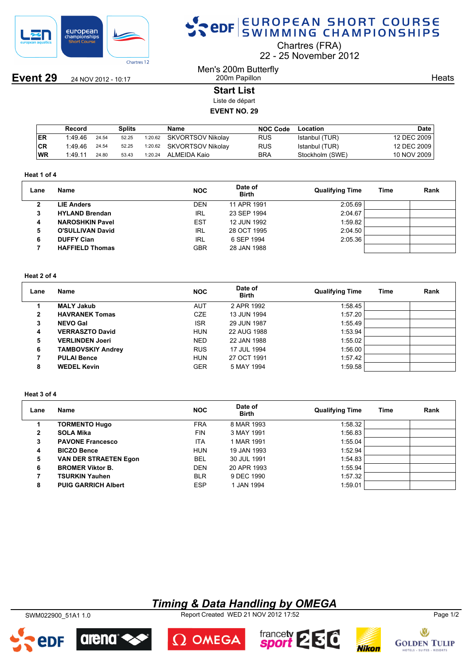

**Event 29** 24 NOV 2012 - 10:17

# SPOR EUROPEAN SHORT COURSE

Chartres (FRA)

22 25 November 2012

Men's 200m Butterfly 200m Papillon

**Heats** 

## **Start List**

Liste de départ

## **EVENT NO. 29**

|           | Record  |       | Splits |         | <b>Name</b>       | <b>NOC Code</b> | Location        | <b>Date</b> |
|-----------|---------|-------|--------|---------|-------------------|-----------------|-----------------|-------------|
| <b>ER</b> | 1:49.46 | 24.54 | 52.25  | 1:20.62 | SKVORTSOV Nikolav | <b>RUS</b>      | Istanbul (TUR)  | 12 DEC 2009 |
| CR        | 1:49.46 | 24.54 | 52.25  | 1:20.62 | SKVORTSOV Nikolay | <b>RUS</b>      | Istanbul (TUR)  | 12 DEC 2009 |
| <b>WR</b> | 1:49.11 | 24.80 | 53.43  | 1:20.24 | ALMEIDA Kaio      | <b>BRA</b>      | Stockholm (SWE) | 10 NOV 2009 |

#### **Heat 1 of 4**

| 2:05.69<br><b>DEN</b><br><b>LIE Anders</b><br>11 APR 1991<br>2      | Lane | Name | <b>NOC</b> | Date of<br><b>Birth</b> | <b>Qualifying Time</b> | Time | Rank |
|---------------------------------------------------------------------|------|------|------------|-------------------------|------------------------|------|------|
|                                                                     |      |      |            |                         |                        |      |      |
| 2:04.67<br>IRL<br>23 SEP 1994<br><b>HYLAND Brendan</b><br>3         |      |      |            |                         |                        |      |      |
| 1:59.82<br><b>EST</b><br>12 JUN 1992<br><b>NAROSHKIN Pavel</b><br>4 |      |      |            |                         |                        |      |      |
| 2:04.50<br>IRL<br>28 OCT 1995<br><b>O'SULLIVAN David</b><br>5       |      |      |            |                         |                        |      |      |
| 2:05.36<br>IRL<br>6 SEP 1994<br><b>DUFFY Cian</b><br>6              |      |      |            |                         |                        |      |      |
| <b>GBR</b><br>28 JAN 1988<br><b>HAFFIELD Thomas</b>                 |      |      |            |                         |                        |      |      |

### **Heat 2 of 4**

| Lane | Name                     | <b>NOC</b> | Date of<br><b>Birth</b> | <b>Qualifying Time</b> | Time | Rank |
|------|--------------------------|------------|-------------------------|------------------------|------|------|
|      | <b>MALY Jakub</b>        | AUT        | 2 APR 1992              | 1:58.45                |      |      |
| 2    | <b>HAVRANEK Tomas</b>    | <b>CZE</b> | 13 JUN 1994             | 1:57.20                |      |      |
| 3    | <b>NEVO Gal</b>          | <b>ISR</b> | 29 JUN 1987             | 1:55.49                |      |      |
| 4    | <b>VERRASZTO David</b>   | <b>HUN</b> | 22 AUG 1988             | 1:53.94                |      |      |
| 5    | <b>VERLINDEN Joeri</b>   | <b>NED</b> | 22 JAN 1988             | 1:55.02                |      |      |
| 6    | <b>TAMBOVSKIY Andrey</b> | <b>RUS</b> | 17 JUL 1994             | 1:56.00                |      |      |
|      | <b>PULAI Bence</b>       | <b>HUN</b> | 27 OCT 1991             | 1:57.42                |      |      |
| 8    | <b>WEDEL Kevin</b>       | <b>GER</b> | 5 MAY 1994              | 1:59.58                |      |      |

#### **Heat 3 of 4**

| Lane         | Name                         | <b>NOC</b> | Date of<br><b>Birth</b> | <b>Qualifying Time</b> | Time | Rank |
|--------------|------------------------------|------------|-------------------------|------------------------|------|------|
|              | <b>TORMENTO Hugo</b>         | <b>FRA</b> | 8 MAR 1993              | 1:58.32                |      |      |
| $\mathbf{2}$ | <b>SOLA Mika</b>             | <b>FIN</b> | 3 MAY 1991              | 1:56.83                |      |      |
| 3            | <b>PAVONE Francesco</b>      | <b>ITA</b> | 1 MAR 1991              | 1:55.04                |      |      |
| 4            | <b>BICZO Bence</b>           | <b>HUN</b> | 19 JAN 1993             | 1:52.94                |      |      |
| 5            | <b>VAN DER STRAETEN Egon</b> | <b>BEL</b> | 30 JUL 1991             | 1:54.83                |      |      |
| 6            | <b>BROMER Viktor B.</b>      | <b>DEN</b> | 20 APR 1993             | 1:55.94                |      |      |
| 7            | <b>TSURKIN Yauhen</b>        | <b>BLR</b> | 9 DEC 1990              | 1:57.32                |      |      |
| 8            | <b>PUIG GARRICH Albert</b>   | <b>ESP</b> | 1 JAN 1994              | 1:59.01                |      |      |

## *Timing & Data Handling by OMEGA*

SWM022900\_51A1 1.0 Report Created WED 21 NOV 2012 17:52 Page 1/2